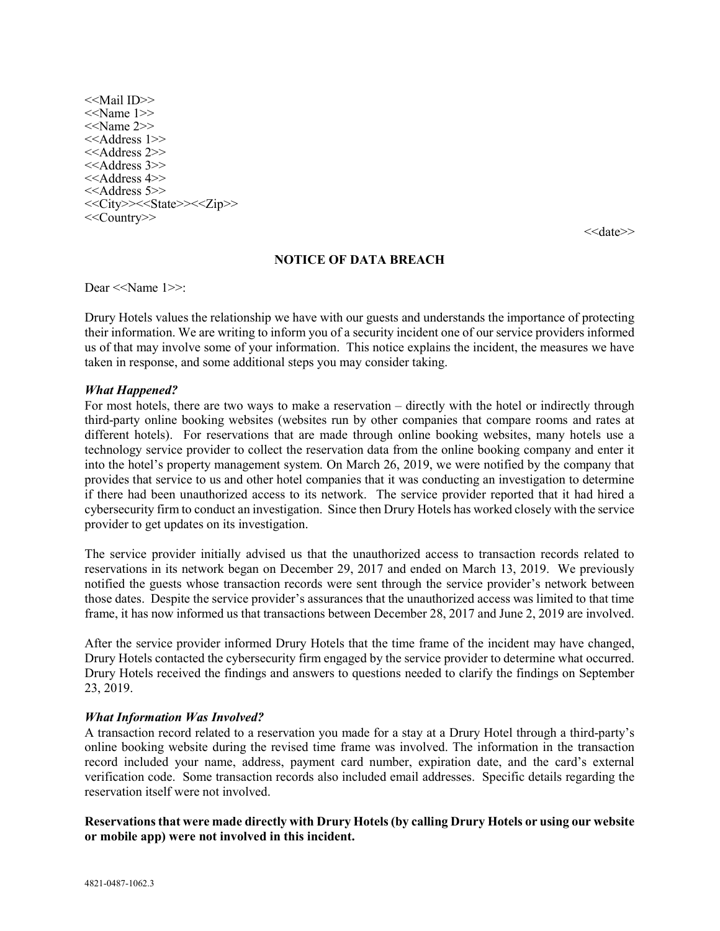<<Mail ID>>  $<<$ Name 1 $>>$ <<Name 2>> <<Address 1>> <<Address 2>> <<Address 3>> <<Address 4>> <<Address 5>> <<City>><<State>><<Zip>> <<Country>>

<<date>>

### NOTICE OF DATA BREACH

Dear <<Name 1>>:

Drury Hotels values the relationship we have with our guests and understands the importance of protecting their information. We are writing to inform you of a security incident one of our service providers informed us of that may involve some of your information. This notice explains the incident, the measures we have taken in response, and some additional steps you may consider taking.

#### What Happened?

For most hotels, there are two ways to make a reservation – directly with the hotel or indirectly through third-party online booking websites (websites run by other companies that compare rooms and rates at different hotels). For reservations that are made through online booking websites, many hotels use a technology service provider to collect the reservation data from the online booking company and enter it into the hotel's property management system. On March 26, 2019, we were notified by the company that provides that service to us and other hotel companies that it was conducting an investigation to determine if there had been unauthorized access to its network. The service provider reported that it had hired a cybersecurity firm to conduct an investigation. Since then Drury Hotels has worked closely with the service provider to get updates on its investigation.

The service provider initially advised us that the unauthorized access to transaction records related to reservations in its network began on December 29, 2017 and ended on March 13, 2019. We previously notified the guests whose transaction records were sent through the service provider's network between those dates. Despite the service provider's assurances that the unauthorized access was limited to that time frame, it has now informed us that transactions between December 28, 2017 and June 2, 2019 are involved.

After the service provider informed Drury Hotels that the time frame of the incident may have changed, Drury Hotels contacted the cybersecurity firm engaged by the service provider to determine what occurred. Drury Hotels received the findings and answers to questions needed to clarify the findings on September 23, 2019.

#### What Information Was Involved?

A transaction record related to a reservation you made for a stay at a Drury Hotel through a third-party's online booking website during the revised time frame was involved. The information in the transaction record included your name, address, payment card number, expiration date, and the card's external verification code. Some transaction records also included email addresses. Specific details regarding the reservation itself were not involved.

# Reservations that were made directly with Drury Hotels (by calling Drury Hotels or using our website or mobile app) were not involved in this incident.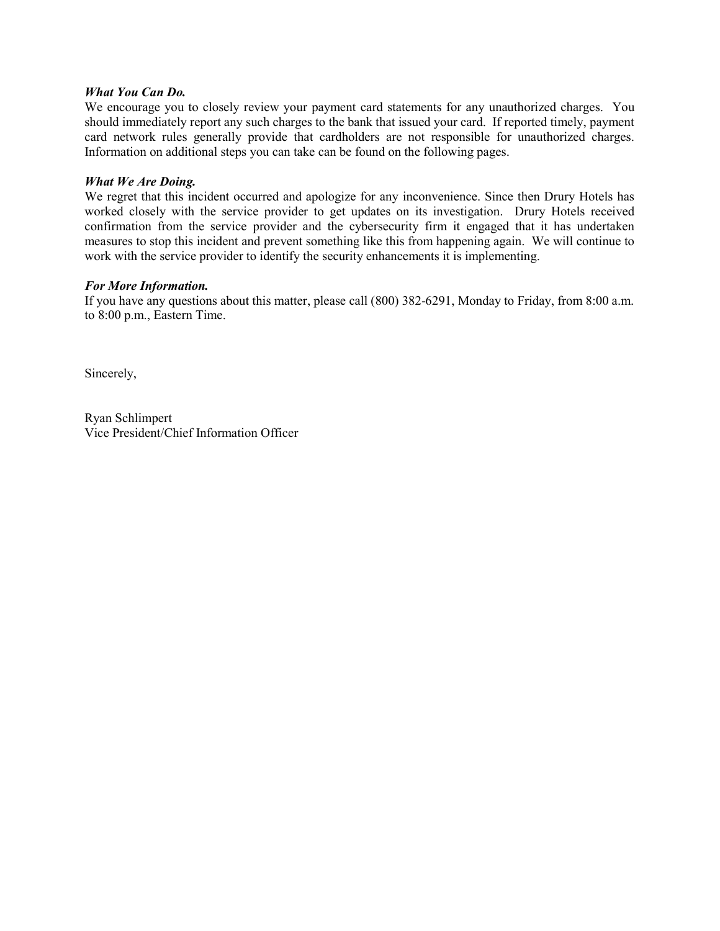## What You Can Do.

We encourage you to closely review your payment card statements for any unauthorized charges. You should immediately report any such charges to the bank that issued your card. If reported timely, payment card network rules generally provide that cardholders are not responsible for unauthorized charges. Information on additional steps you can take can be found on the following pages.

## What We Are Doing.

We regret that this incident occurred and apologize for any inconvenience. Since then Drury Hotels has worked closely with the service provider to get updates on its investigation. Drury Hotels received confirmation from the service provider and the cybersecurity firm it engaged that it has undertaken measures to stop this incident and prevent something like this from happening again. We will continue to work with the service provider to identify the security enhancements it is implementing.

### For More Information.

If you have any questions about this matter, please call (800) 382-6291, Monday to Friday, from 8:00 a.m. to 8:00 p.m., Eastern Time.

Sincerely,

Ryan Schlimpert Vice President/Chief Information Officer